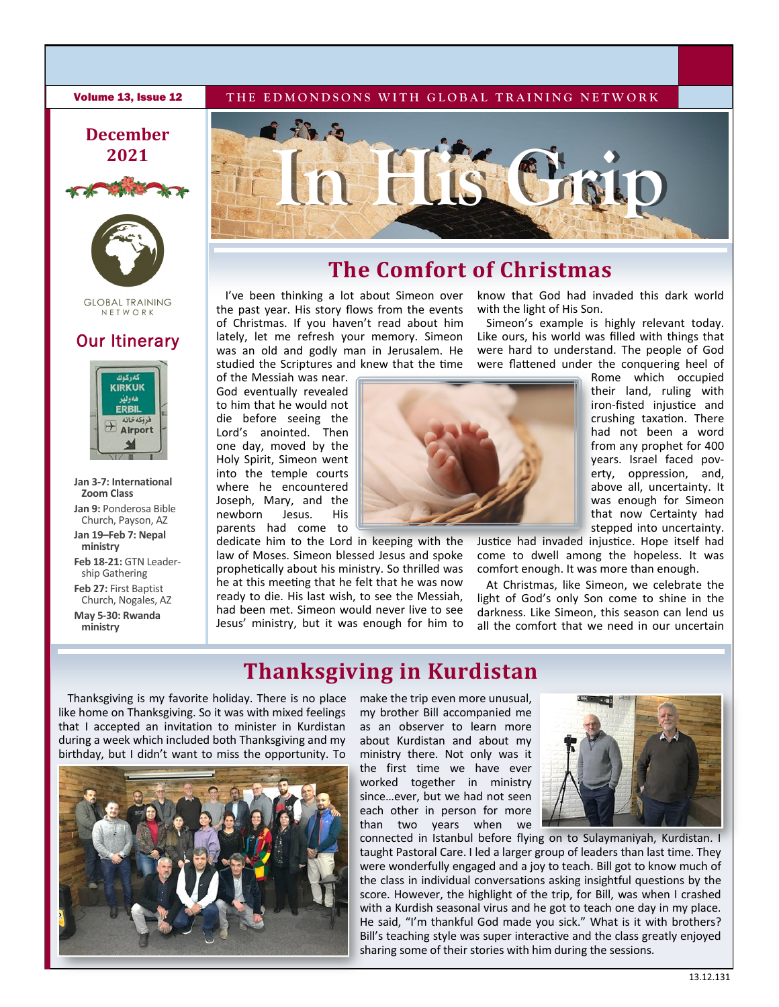#### **Volume 13, Issue 12** THE EDMONDSONS WITH GLOBAL TRAINING NETWORK

## **December 2021**





**GLOBAL TRAINING** NETWORK

### **Our Itinerary**



**Jan 3-7: International Zoom Class**

**Jan 9:** Ponderosa Bible Church, Payson, AZ

**Jan 19–Feb 7: Nepal ministry** 

**Feb 18-21:** GTN Leadership Gathering

**Feb 27:** First Baptist Church, Nogales, AZ

**May 5-30: Rwanda ministry**



# **The Comfort of Christmas**

I've been thinking a lot about Simeon over the past year. His story flows from the events of Christmas. If you haven't read about him lately, let me refresh your memory. Simeon was an old and godly man in Jerusalem. He studied the Scriptures and knew that the time

of the Messiah was near. God eventually revealed to him that he would not die before seeing the Lord's anointed. Then one day, moved by the Holy Spirit, Simeon went into the temple courts where he encountered Joseph, Mary, and the newborn Jesus. His parents had come to

dedicate him to the Lord in keeping with the law of Moses. Simeon blessed Jesus and spoke prophetically about his ministry. So thrilled was he at this meeting that he felt that he was now ready to die. His last wish, to see the Messiah, had been met. Simeon would never live to see Jesus' ministry, but it was enough for him to

Like ours, his world was filled with things that were hard to understand. The people of God were flattened under the conquering heel of Rome which occupied

with the light of His Son.

their land, ruling with iron-fisted injustice and crushing taxation. There had not been a word from any prophet for 400 years. Israel faced poverty, oppression, and, above all, uncertainty. It was enough for Simeon that now Certainty had stepped into uncertainty.

Justice had invaded injustice. Hope itself had come to dwell among the hopeless. It was comfort enough. It was more than enough.

know that God had invaded this dark world

Simeon's example is highly relevant today.

At Christmas, like Simeon, we celebrate the light of God's only Son come to shine in the darkness. Like Simeon, this season can lend us all the comfort that we need in our uncertain

# **Thanksgiving in Kurdistan**

Thanksgiving is my favorite holiday. There is no place like home on Thanksgiving. So it was with mixed feelings that I accepted an invitation to minister in Kurdistan during a week which included both Thanksgiving and my birthday, but I didn't want to miss the opportunity. To



make the trip even more unusual, my brother Bill accompanied me as an observer to learn more about Kurdistan and about my ministry there. Not only was it the first time we have ever worked together in ministry since…ever, but we had not seen each other in person for more than two years when we



connected in Istanbul before flying on to Sulaymaniyah, Kurdistan. I taught Pastoral Care. I led a larger group of leaders than last time. They were wonderfully engaged and a joy to teach. Bill got to know much of the class in individual conversations asking insightful questions by the score. However, the highlight of the trip, for Bill, was when I crashed with a Kurdish seasonal virus and he got to teach one day in my place. He said, "I'm thankful God made you sick." What is it with brothers? Bill's teaching style was super interactive and the class greatly enjoyed sharing some of their stories with him during the sessions.

13.12.131